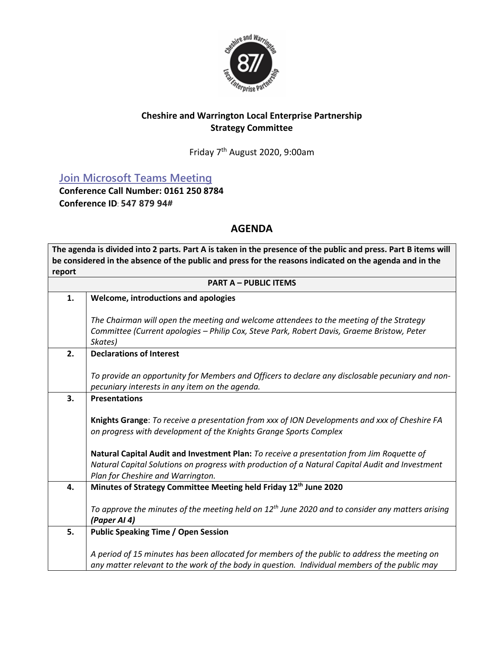

## **Cheshire and Warrington Local Enterprise Partnership Strategy Committee**

Friday 7 th August 2020, 9:00am

**[Join Microsoft Teams Meeting](https://teams.microsoft.com/l/meetup-join/19%3ameeting_Y2NkMGFjNDEtZDQyMy00NDEzLTk2N2MtZDZiYWVmNjE3M2Ey%40thread.v2/0?context=%7b%22Tid%22%3a%229fdc30f0-07e8-4ece-96e4-5daef8d479d1%22%2c%22Oid%22%3a%2278369528-111b-4526-9963-8ac55e1e0d7c%22%7d)**

**Conference Call Number: 0161 250 8784 Conference ID**: **547 879 94#** 

## **AGENDA**

**The agenda is divided into 2 parts. Part A is taken in the presence of the public and press. Part B items will be considered in the absence of the public and press for the reasons indicated on the agenda and in the report PART A – PUBLIC ITEMS 1. Welcome, introductions and apologies** *The Chairman will open the meeting and welcome attendees to the meeting of the Strategy Committee (Current apologies – Philip Cox, Steve Park, Robert Davis, Graeme Bristow, Peter Skates)* **2. Declarations of Interest** *To provide an opportunity for Members and Officers to declare any disclosable pecuniary and nonpecuniary interests in any item on the agenda.* **3. Presentations Knights Grange**: *To receive a presentation from xxx of ION Developments and xxx of Cheshire FA on progress with development of the Knights Grange Sports Complex* **Natural Capital Audit and Investment Plan:** *To receive a presentation from Jim Roquette of Natural Capital Solutions on progress with production of a Natural Capital Audit and Investment Plan for Cheshire and Warrington.* **4. Minutes of Strategy Committee Meeting held Friday 12th June 2020** *To approve the minutes of the meeting held on 12th June 2020 and to consider any matters arising (Paper AI 4)* **5. Public Speaking Time / Open Session** *A period of 15 minutes has been allocated for members of the public to address the meeting on any matter relevant to the work of the body in question. Individual members of the public may*